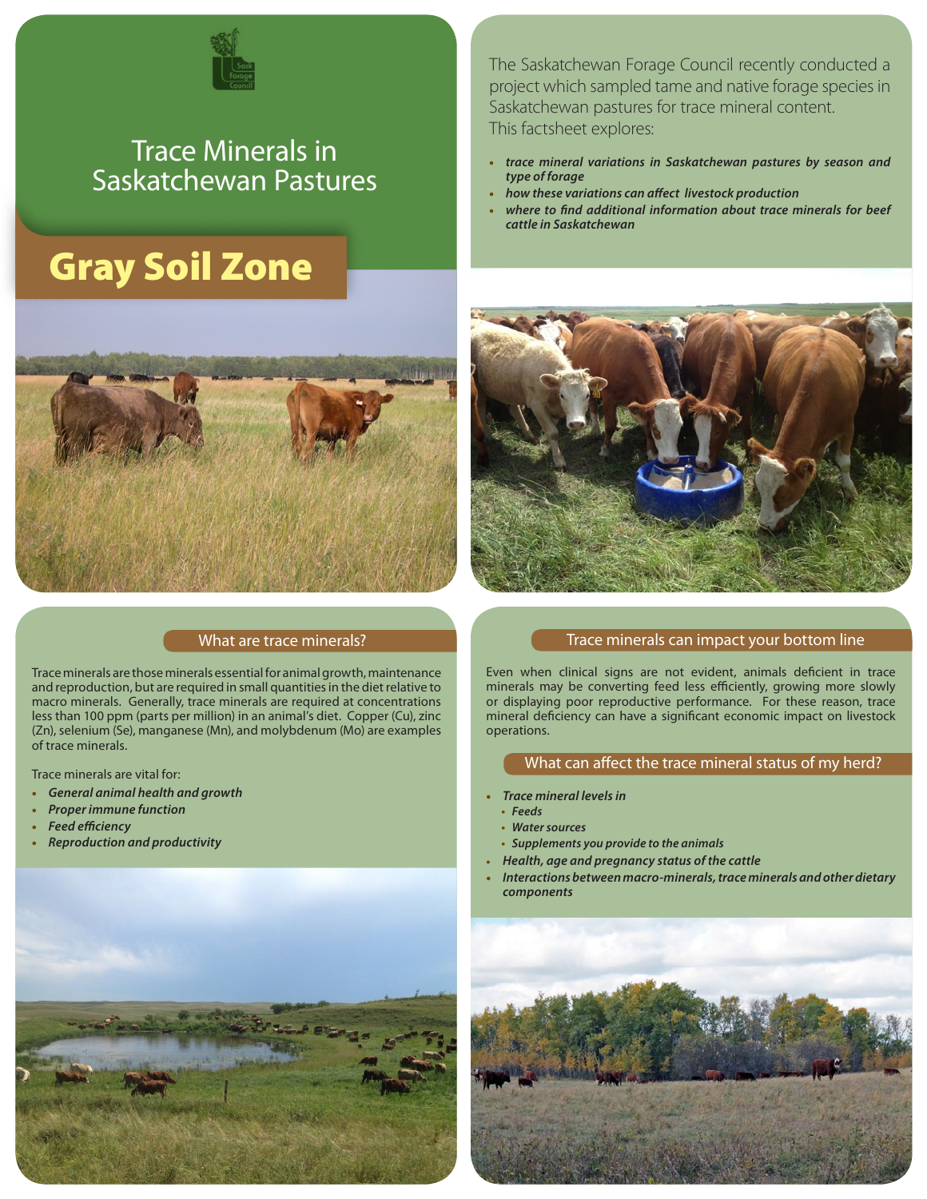

# Trace Minerals in Saskatchewan Pastures

# Gray Soil Zone



### What are trace minerals?

Trace minerals are those minerals essential for animal growth, maintenance and reproduction, but are required in small quantities in the diet relative to macro minerals. Generally, trace minerals are required at concentrations less than 100 ppm (parts per million) in an animal's diet. Copper (Cu), zinc (Zn), selenium (Se), manganese (Mn), and molybdenum (Mo) are examples of trace minerals.

Trace minerals are vital for:

- **•** *General animal health and growth*
- **•** *Proper immune function*
- **•** *Feed efficiency*
- **•** *Reproduction and productivity*



The Saskatchewan Forage Council recently conducted a project which sampled tame and native forage species in Saskatchewan pastures for trace mineral content. This factsheet explores:

- **•** *trace mineral variations in Saskatchewan pastures by season and type of forage*
- **•** *how these variations can affect livestock production*
- **•** *where to find additional information about trace minerals for beef cattle in Saskatchewan*



#### Trace minerals can impact your bottom line

Even when clinical signs are not evident, animals deficient in trace minerals may be converting feed less efficiently, growing more slowly or displaying poor reproductive performance. For these reason, trace mineral deficiency can have a significant economic impact on livestock operations.

#### What can affect the trace mineral status of my herd?

- **•** *Trace mineral levels in*
- **•** *Feeds*
- **•** *Water sources*
- **•** *Supplements you provide to the animals*
- **•** *Health, age and pregnancy status of the cattle*
- **•** *Interactions between macro-minerals, trace minerals and other dietary components*